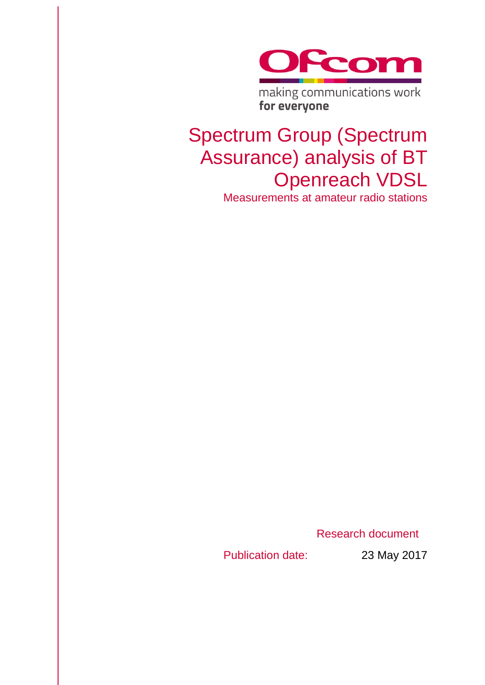

# Spectrum Group (Spectrum Assurance) analysis of BT Openreach VDSL

Measurements at amateur radio stations

Research document

Publication date: 23 May 2017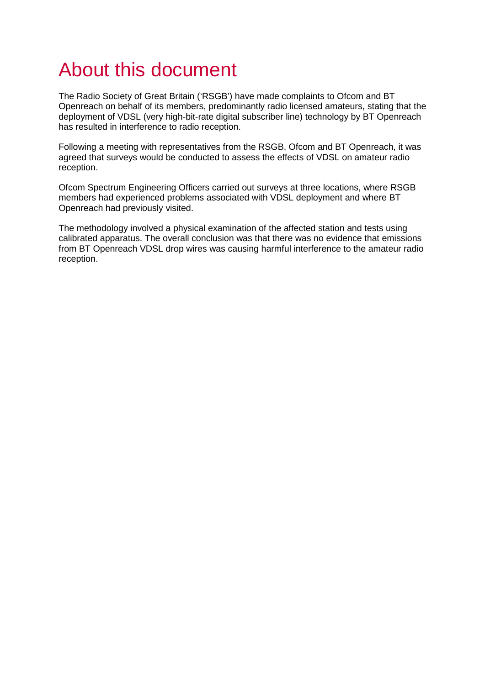# About this document

The Radio Society of Great Britain ('RSGB') have made complaints to Ofcom and BT Openreach on behalf of its members, predominantly radio licensed amateurs, stating that the deployment of VDSL (very high-bit-rate digital subscriber line) technology by BT Openreach has resulted in interference to radio reception.

Following a meeting with representatives from the RSGB, Ofcom and BT Openreach, it was agreed that surveys would be conducted to assess the effects of VDSL on amateur radio reception.

Ofcom Spectrum Engineering Officers carried out surveys at three locations, where RSGB members had experienced problems associated with VDSL deployment and where BT Openreach had previously visited.

The methodology involved a physical examination of the affected station and tests using calibrated apparatus. The overall conclusion was that there was no evidence that emissions from BT Openreach VDSL drop wires was causing harmful interference to the amateur radio reception.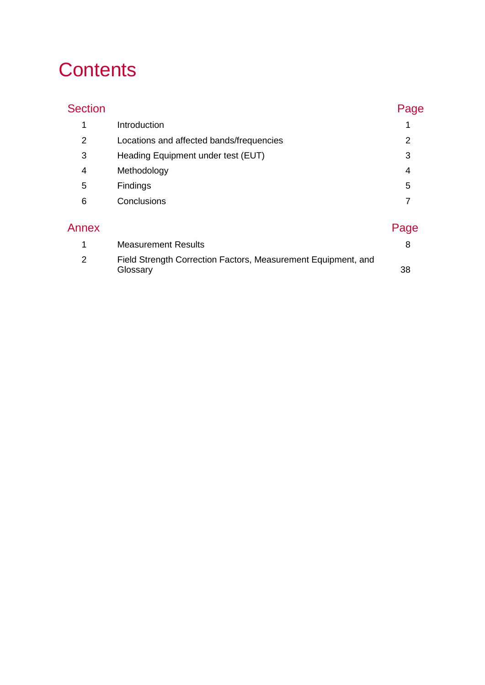# **Contents**

| <b>Section</b> |                                                                           | Page |
|----------------|---------------------------------------------------------------------------|------|
| 1              | Introduction                                                              |      |
| 2              | Locations and affected bands/frequencies                                  | 2    |
| 3              | Heading Equipment under test (EUT)                                        | 3    |
| 4              | Methodology                                                               | 4    |
| 5              | Findings                                                                  | 5    |
| 6              | Conclusions                                                               | 7    |
| Annex          |                                                                           | Page |
| 1              | <b>Measurement Results</b>                                                | 8    |
| 2              | Field Strength Correction Factors, Measurement Equipment, and<br>Glossary | 38   |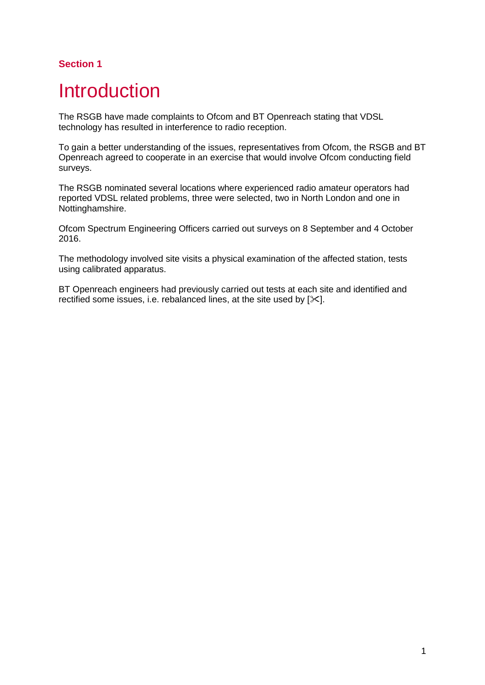# <span id="page-5-0"></span>**Introduction**

The RSGB have made complaints to Ofcom and BT Openreach stating that VDSL technology has resulted in interference to radio reception.

To gain a better understanding of the issues, representatives from Ofcom, the RSGB and BT Openreach agreed to cooperate in an exercise that would involve Ofcom conducting field surveys.

The RSGB nominated several locations where experienced radio amateur operators had reported VDSL related problems, three were selected, two in North London and one in Nottinghamshire.

Ofcom Spectrum Engineering Officers carried out surveys on 8 September and 4 October 2016.

The methodology involved site visits a physical examination of the affected station, tests using calibrated apparatus.

BT Openreach engineers had previously carried out tests at each site and identified and rectified some issues, i.e. rebalanced lines, at the site used by  $[\times]$ .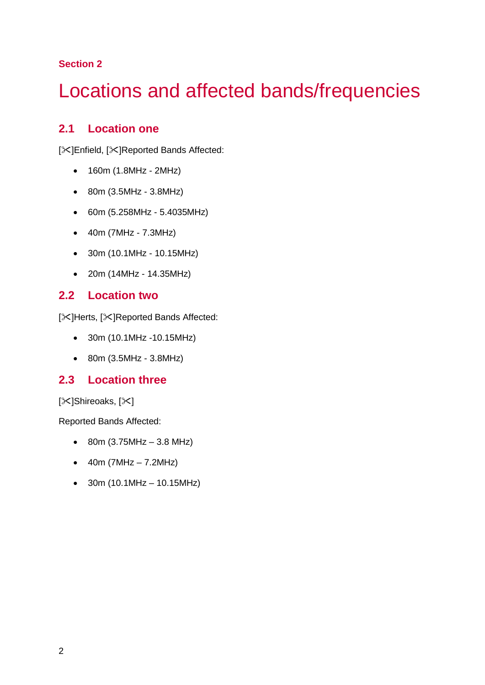# <span id="page-6-0"></span>Locations and affected bands/frequencies

# **2.1 Location one**

[ $|X|$ Enfield, [ $|X|$ Reported Bands Affected:

- 160m (1.8MHz 2MHz)
- 80m (3.5MHz 3.8MHz)
- 60m (5.258MHz 5.4035MHz)
- 40m (7MHz 7.3MHz)
- 30m (10.1MHz 10.15MHz)
- 20m (14MHz 14.35MHz)

# **2.2 Location two**

[ $|X|$ Herts, [ $|X|$ Reported Bands Affected:

- 30m (10.1MHz -10.15MHz)
- 80m (3.5MHz 3.8MHz)

# **2.3 Location three**

[ $|X|$ Shireoaks, [ $|X|$ ]

Reported Bands Affected:

- 80m  $(3.75MHz 3.8MHz)$
- $40m (7MHz 7.2MHz)$
- $30m (10.1MHz 10.15MHz)$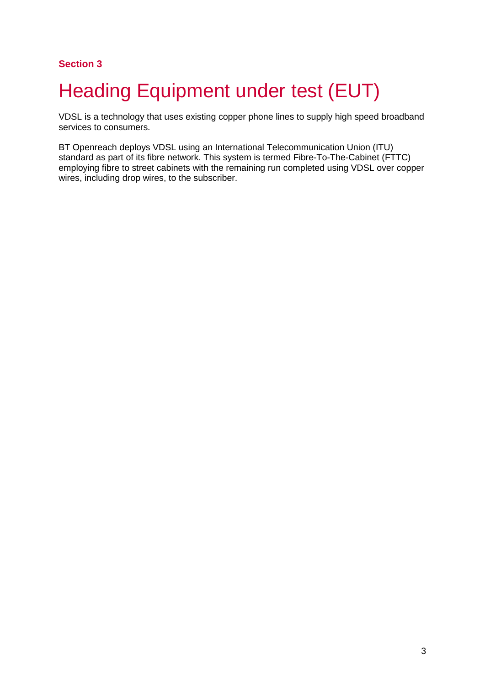# <span id="page-7-0"></span>**Heading Equipment under test (EUT)**

VDSL is a technology that uses existing copper phone lines to supply high speed broadband services to consumers.

BT Openreach deploys VDSL using an International Telecommunication Union (ITU) standard as part of its fibre network. This system is termed Fibre-To-The-Cabinet (FTTC) employing fibre to street cabinets with the remaining run completed using VDSL over copper wires, including drop wires, to the subscriber.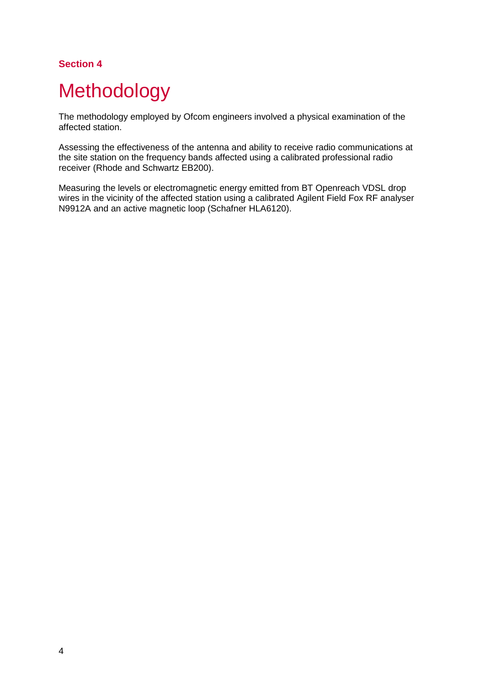# <span id="page-8-0"></span>**Methodology**

The methodology employed by Ofcom engineers involved a physical examination of the affected station.

Assessing the effectiveness of the antenna and ability to receive radio communications at the site station on the frequency bands affected using a calibrated professional radio receiver (Rhode and Schwartz EB200).

Measuring the levels or electromagnetic energy emitted from BT Openreach VDSL drop wires in the vicinity of the affected station using a calibrated Agilent Field Fox RF analyser N9912A and an active magnetic loop (Schafner HLA6120).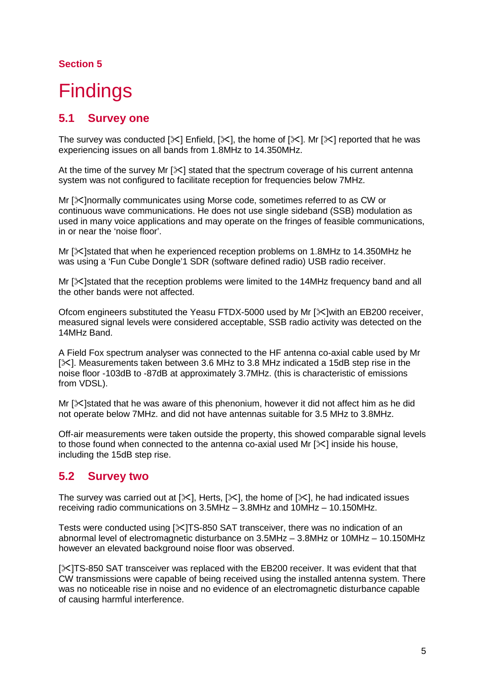# <span id="page-9-0"></span>**Findings**

# **5.1 Survey one**

The survey was conducted  $[\times]$  Enfield,  $[\times]$ , the home of  $[\times]$ . Mr  $[\times]$  reported that he was experiencing issues on all bands from 1.8MHz to 14.350MHz.

At the time of the survey Mr  $[\times]$  stated that the spectrum coverage of his current antenna system was not configured to facilitate reception for frequencies below 7MHz.

Mr [ $\mathcal{K}$ ]normally communicates using Morse code, sometimes referred to as CW or continuous wave communications. He does not use single sideband (SSB) modulation as used in many voice applications and may operate on the fringes of feasible communications, in or near the 'noise floor'.

Mr []stated that when he experienced reception problems on 1.8MHz to 14.350MHz he was using a 'Fun Cube Dongle'1 SDR (software defined radio) USB radio receiver.

Mr  $[\times]$ stated that the reception problems were limited to the 14MHz frequency band and all the other bands were not affected.

Ofcom engineers substituted the Yeasu FTDX-5000 used by Mr  $[\&$  with an EB200 receiver, measured signal levels were considered acceptable, SSB radio activity was detected on the 14MHz Band.

A Field Fox spectrum analyser was connected to the HF antenna co-axial cable used by Mr  $[\times]$ . Measurements taken between 3.6 MHz to 3.8 MHz indicated a 15dB step rise in the noise floor -103dB to -87dB at approximately 3.7MHz. (this is characteristic of emissions from VDSL).

Mr  $[\times]$ stated that he was aware of this phenonium, however it did not affect him as he did not operate below 7MHz. and did not have antennas suitable for 3.5 MHz to 3.8MHz.

Off-air measurements were taken outside the property, this showed comparable signal levels to those found when connected to the antenna co-axial used Mr  $[\times]$  inside his house, including the 15dB step rise.

# **5.2 Survey two**

The survey was carried out at  $[\times]$ , Herts,  $[\times]$ , the home of  $[\times]$ , he had indicated issues receiving radio communications on 3.5MHz – 3.8MHz and 10MHz – 10.150MHz.

Tests were conducted using  $[\times]TS-850$  SAT transceiver, there was no indication of an abnormal level of electromagnetic disturbance on 3.5MHz – 3.8MHz or 10MHz – 10.150MHz however an elevated background noise floor was observed.

[ $\frac{1}{15}$ ]TS-850 SAT transceiver was replaced with the EB200 receiver. It was evident that that CW transmissions were capable of being received using the installed antenna system. There was no noticeable rise in noise and no evidence of an electromagnetic disturbance capable of causing harmful interference.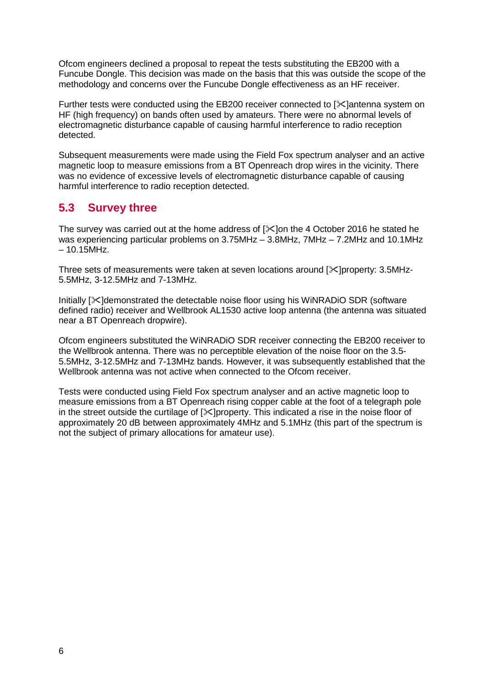Ofcom engineers declined a proposal to repeat the tests substituting the EB200 with a Funcube Dongle. This decision was made on the basis that this was outside the scope of the methodology and concerns over the Funcube Dongle effectiveness as an HF receiver.

Further tests were conducted using the EB200 receiver connected to  $\ll$  lantenna system on HF (high frequency) on bands often used by amateurs. There were no abnormal levels of electromagnetic disturbance capable of causing harmful interference to radio reception detected.

Subsequent measurements were made using the Field Fox spectrum analyser and an active magnetic loop to measure emissions from a BT Openreach drop wires in the vicinity. There was no evidence of excessive levels of electromagnetic disturbance capable of causing harmful interference to radio reception detected.

# **5.3 Survey three**

The survey was carried out at the home address of  $[\times]$  on the 4 October 2016 he stated he was experiencing particular problems on 3.75MHz – 3.8MHz, 7MHz – 7.2MHz and 10.1MHz – 10.15MHz.

Three sets of measurements were taken at seven locations around  $\ll$  loroperty: 3.5MHz-5.5MHz, 3-12.5MHz and 7-13MHz.

Initially  $[\&$  demonstrated the detectable noise floor using his WiNRADiO SDR (software defined radio) receiver and Wellbrook AL1530 active loop antenna (the antenna was situated near a BT Openreach dropwire).

Ofcom engineers substituted the WiNRADiO SDR receiver connecting the EB200 receiver to the Wellbrook antenna. There was no perceptible elevation of the noise floor on the 3.5- 5.5MHz, 3-12.5MHz and 7-13MHz bands. However, it was subsequently established that the Wellbrook antenna was not active when connected to the Ofcom receiver.

Tests were conducted using Field Fox spectrum analyser and an active magnetic loop to measure emissions from a BT Openreach rising copper cable at the foot of a telegraph pole in the street outside the curtilage of  $[\times]$ property. This indicated a rise in the noise floor of approximately 20 dB between approximately 4MHz and 5.1MHz (this part of the spectrum is not the subject of primary allocations for amateur use).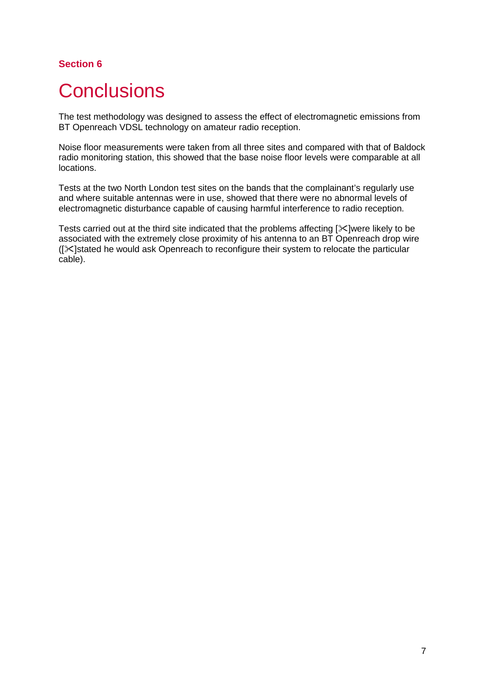# <span id="page-11-0"></span>**Conclusions**

The test methodology was designed to assess the effect of electromagnetic emissions from BT Openreach VDSL technology on amateur radio reception.

Noise floor measurements were taken from all three sites and compared with that of Baldock radio monitoring station, this showed that the base noise floor levels were comparable at all locations.

Tests at the two North London test sites on the bands that the complainant's regularly use and where suitable antennas were in use, showed that there were no abnormal levels of electromagnetic disturbance capable of causing harmful interference to radio reception.

Tests carried out at the third site indicated that the problems affecting  $[\times]$  were likely to be associated with the extremely close proximity of his antenna to an BT Openreach drop wire  $([X]$ stated he would ask Openreach to reconfigure their system to relocate the particular cable).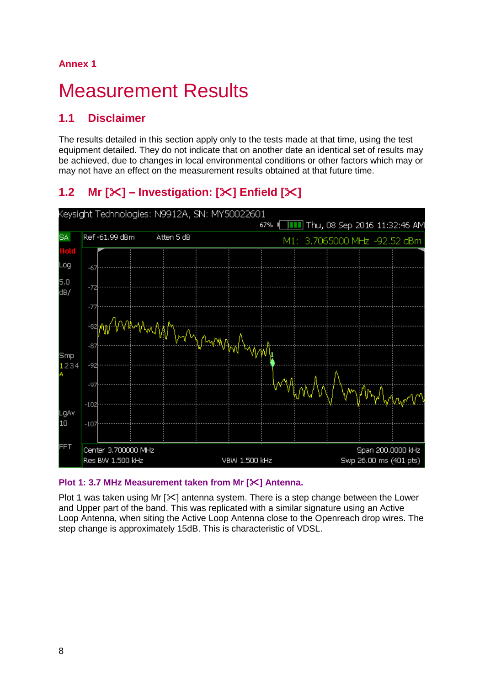# **Annex 1**

# <span id="page-12-0"></span>**Measurement Results**

# **1.1 Disclaimer**

The results detailed in this section apply only to the tests made at that time, using the test equipment detailed. They do not indicate that on another date an identical set of results may be achieved, due to changes in local environmental conditions or other factors which may or may not have an effect on the measurement results obtained at that future time.

# **1.2 Mr**  $[\mathbb{X}]$  – **Investigation:**  $[\mathbb{X}]$  **Enfield**  $[\mathbb{X}]$



### **Plot 1: 3.7 MHz Measurement taken from Mr [] Antenna.**

Plot 1 was taken using Mr  $[\&]$  antenna system. There is a step change between the Lower and Upper part of the band. This was replicated with a similar signature using an Active Loop Antenna, when siting the Active Loop Antenna close to the Openreach drop wires. The step change is approximately 15dB. This is characteristic of VDSL.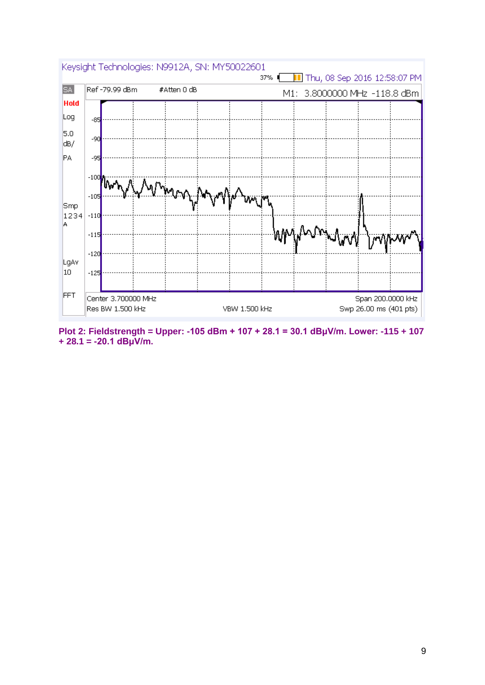

**Plot 2: Fieldstrength = Upper: -105 dBm + 107 + 28.1 = 30.1 dBμV/m. Lower: -115 + 107 + 28.1 = -20.1 dBμV/m.**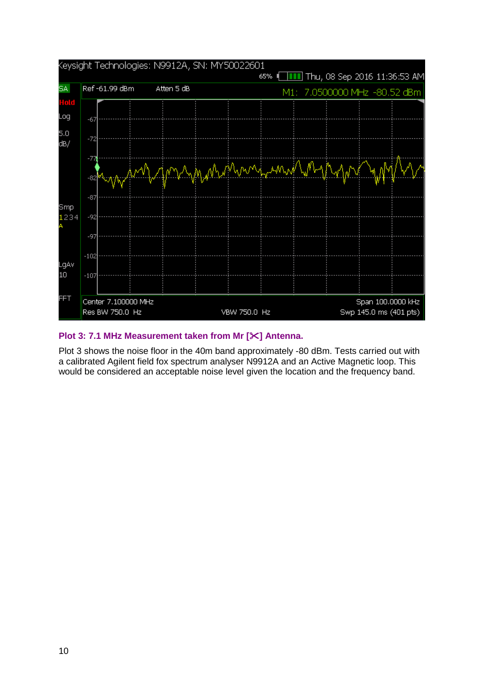

#### **Plot 3: 7.1 MHz Measurement taken from Mr [] Antenna.**

Plot 3 shows the noise floor in the 40m band approximately -80 dBm. Tests carried out with a calibrated Agilent field fox spectrum analyser N9912A and an Active Magnetic loop. This would be considered an acceptable noise level given the location and the frequency band.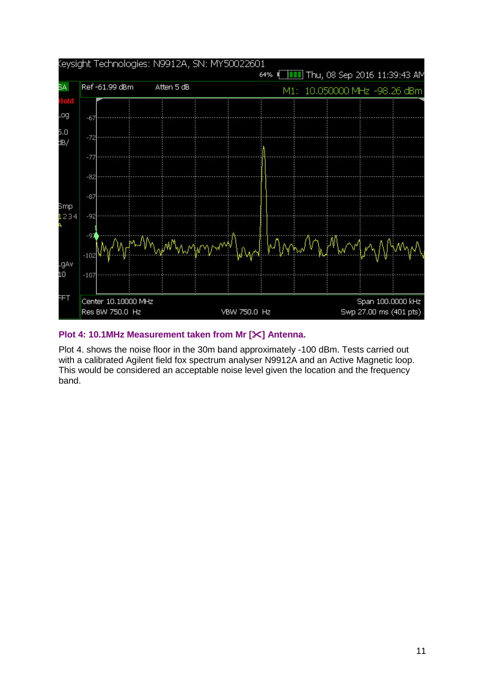

### **Plot 4: 10.1MHz Measurement taken from Mr [] Antenna.**

Plot 4. shows the noise floor in the 30m band approximately -100 dBm. Tests carried out with a calibrated Agilent field fox spectrum analyser N9912A and an Active Magnetic loop. This would be considered an acceptable noise level given the location and the frequency band.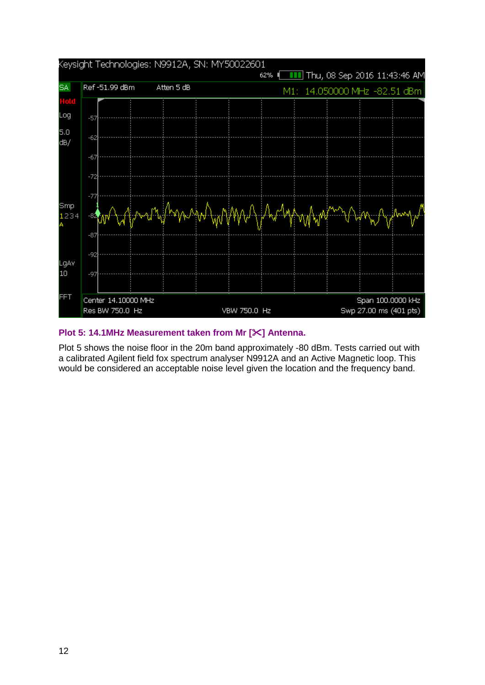

#### **Plot 5: 14.1MHz Measurement taken from Mr [] Antenna.**

Plot 5 shows the noise floor in the 20m band approximately -80 dBm. Tests carried out with a calibrated Agilent field fox spectrum analyser N9912A and an Active Magnetic loop. This would be considered an acceptable noise level given the location and the frequency band.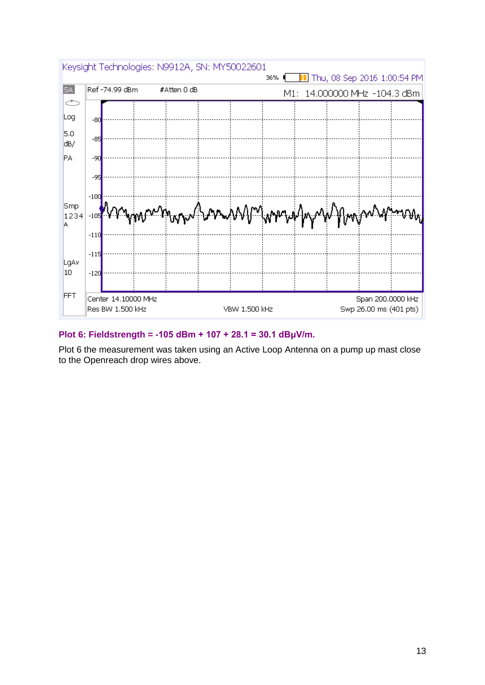

### **Plot 6: Fieldstrength = -105 dBm + 107 + 28.1 = 30.1 dBμV/m.**

Plot 6 the measurement was taken using an Active Loop Antenna on a pump up mast close to the Openreach drop wires above.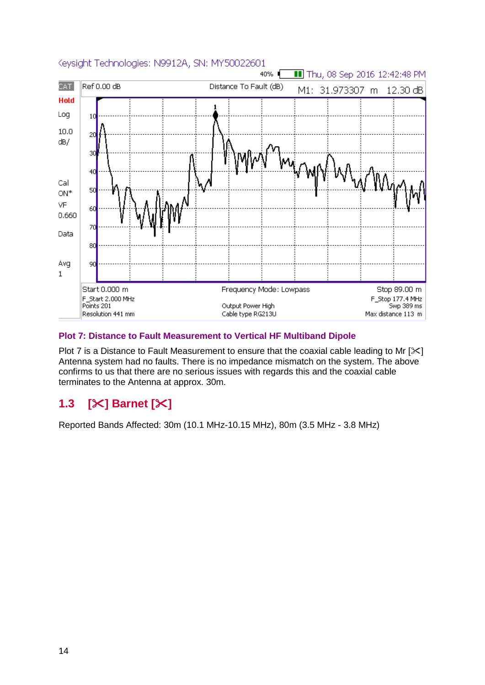

### **Plot 7: Distance to Fault Measurement to Vertical HF Multiband Dipole**

Plot 7 is a Distance to Fault Measurement to ensure that the coaxial cable leading to Mr  $[\times]$ Antenna system had no faults. There is no impedance mismatch on the system. The above confirms to us that there are no serious issues with regards this and the coaxial cable terminates to the Antenna at approx. 30m.

# **1.3 [] Barnet []**

Reported Bands Affected: 30m (10.1 MHz-10.15 MHz), 80m (3.5 MHz - 3.8 MHz)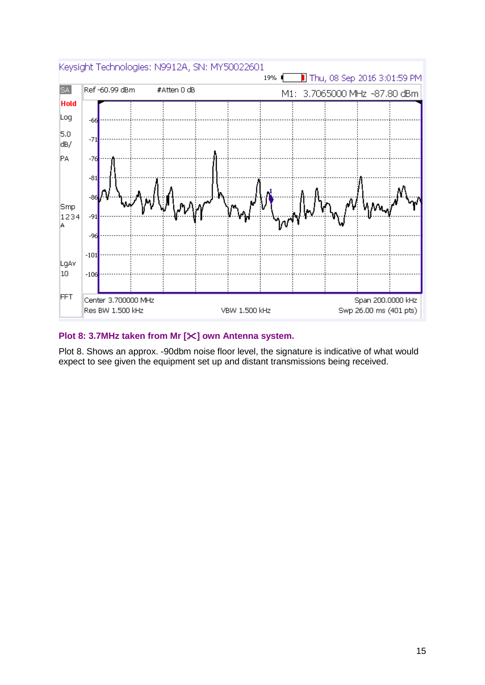

#### **Plot 8: 3.7MHz taken from Mr [] own Antenna system.**

Plot 8. Shows an approx. -90dbm noise floor level, the signature is indicative of what would expect to see given the equipment set up and distant transmissions being received.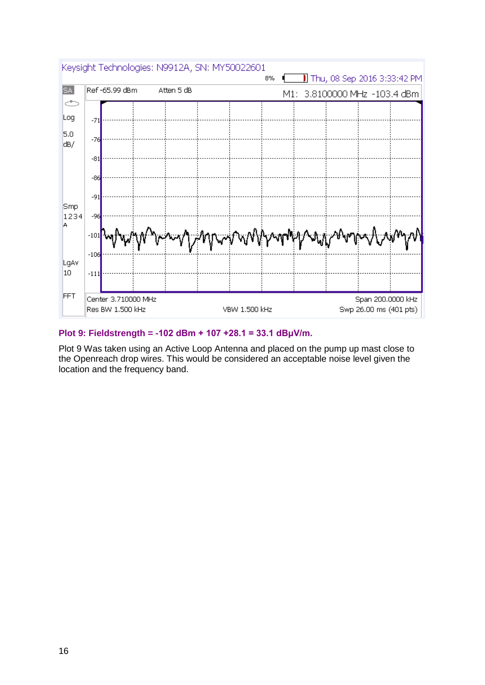

#### **Plot 9: Fieldstrength = -102 dBm + 107 +28.1 = 33.1 dBμV/m.**

Plot 9 Was taken using an Active Loop Antenna and placed on the pump up mast close to the Openreach drop wires. This would be considered an acceptable noise level given the location and the frequency band.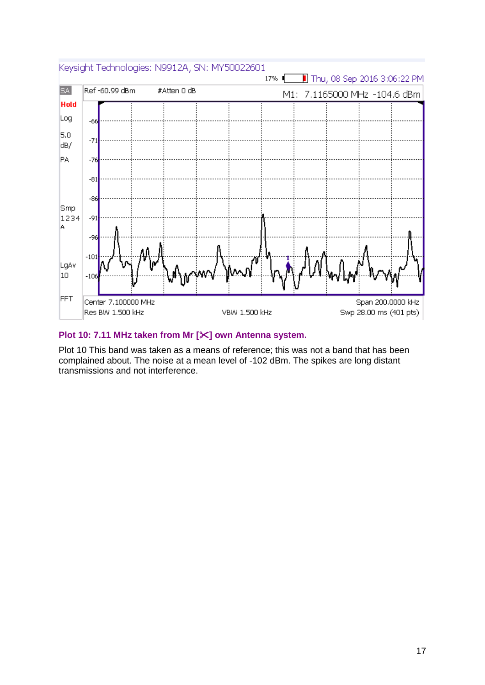

### **Plot 10: 7.11 MHz taken from Mr [] own Antenna system.**

Plot 10 This band was taken as a means of reference; this was not a band that has been complained about. The noise at a mean level of -102 dBm. The spikes are long distant transmissions and not interference.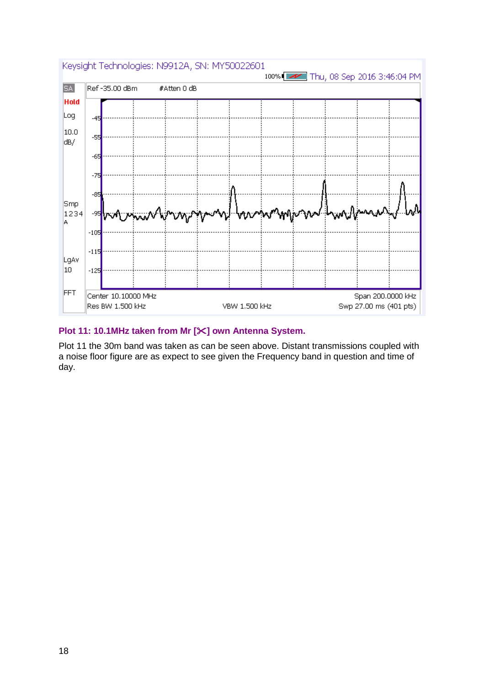

### **Plot 11: 10.1MHz taken from Mr [] own Antenna System.**

Plot 11 the 30m band was taken as can be seen above. Distant transmissions coupled with a noise floor figure are as expect to see given the Frequency band in question and time of day.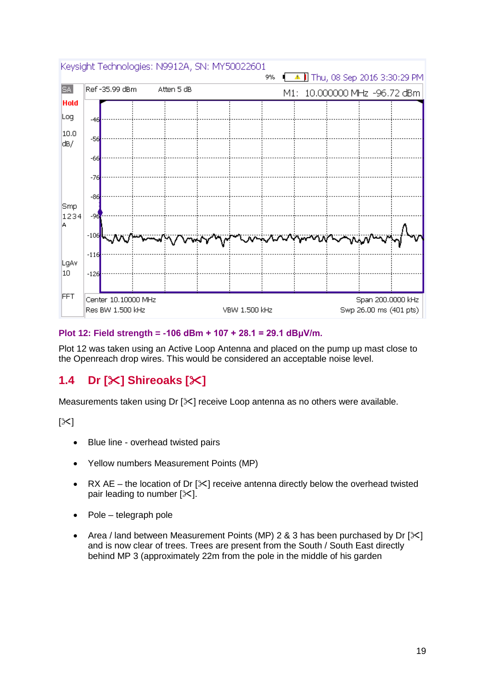

### **Plot 12: Field strength = -106 dBm + 107 + 28.1 = 29.1 dBμV/m.**

Plot 12 was taken using an Active Loop Antenna and placed on the pump up mast close to the Openreach drop wires. This would be considered an acceptable noise level.

# **1.4 Dr [] Shireoaks []**

Measurements taken using Dr  $[\times]$  receive Loop antenna as no others were available.

 $[\times]$ 

- Blue line overhead twisted pairs
- Yellow numbers Measurement Points (MP)
- RX AE the location of Dr  $[\&]$  receive antenna directly below the overhead twisted pair leading to number  $[\times]$ .
- Pole telegraph pole
- Area / land between Measurement Points (MP) 2 & 3 has been purchased by Dr  $[\times]$ and is now clear of trees. Trees are present from the South / South East directly behind MP 3 (approximately 22m from the pole in the middle of his garden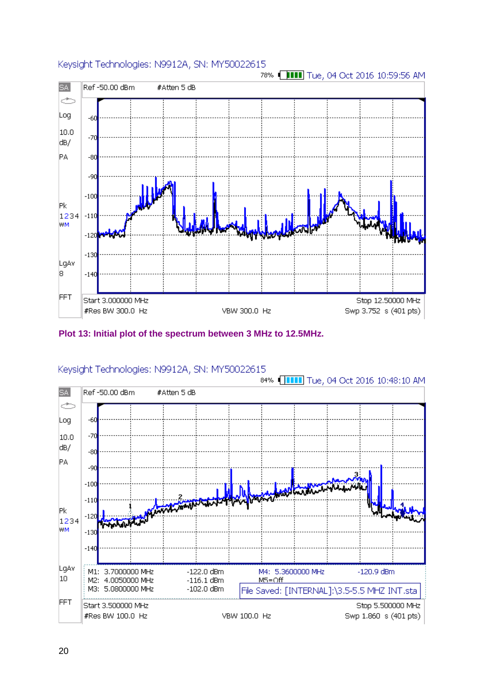

#### **Plot 13: Initial plot of the spectrum between 3 MHz to 12.5MHz.**

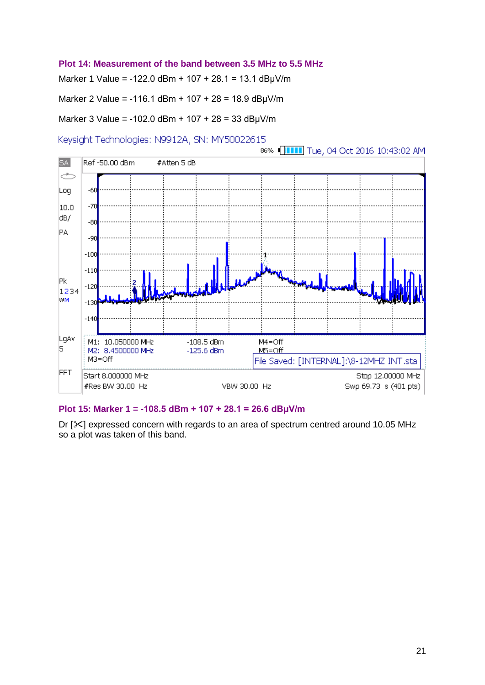#### **Plot 14: Measurement of the band between 3.5 MHz to 5.5 MHz**

Marker 1 Value = -122.0 dBm + 107 + 28.1 = 13.1 dBμV/m

Marker 2 Value = -116.1 dBm + 107 + 28 = 18.9 dBμV/m

Marker 3 Value = -102.0 dBm + 107 + 28 = 33 dBμV/m

Keysight Technologies: N9912A, SN: MY50022615



#### **Plot 15: Marker 1 = -108.5 dBm + 107 + 28.1 = 26.6 dBμV/m**

Dr  $[\times]$  expressed concern with regards to an area of spectrum centred around 10.05 MHz so a plot was taken of this band.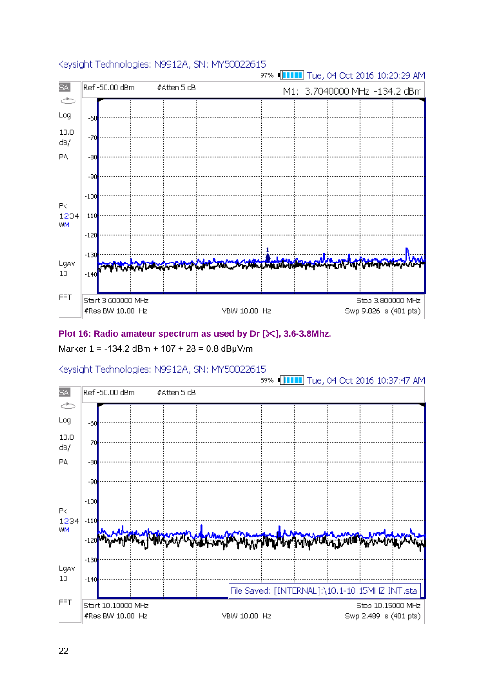

### **Plot 16: Radio amateur spectrum as used by Dr [], 3.6-3.8Mhz.**

### Marker 1 = -134.2 dBm + 107 + 28 =  $0.8$  dB $\mu$ V/m

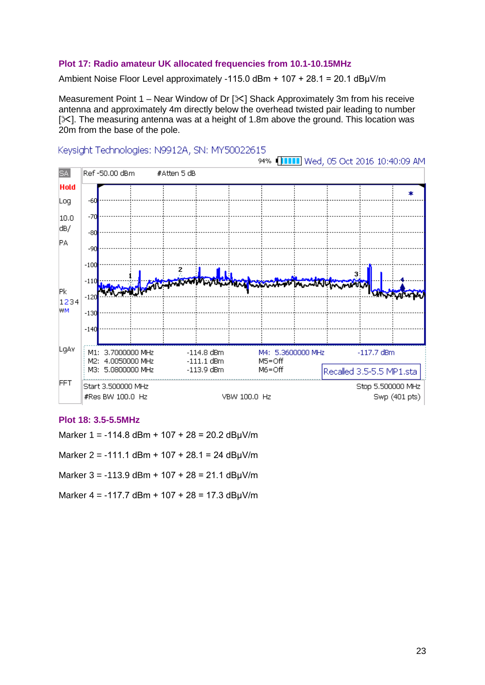#### **Plot 17: Radio amateur UK allocated frequencies from 10.1-10.15MHz**

Ambient Noise Floor Level approximately -115.0 dBm + 107 + 28.1 = 20.1 dBμV/m

Measurement Point 1 – Near Window of Dr  $[\times]$  Shack Approximately 3m from his receive antenna and approximately 4m directly below the overhead twisted pair leading to number  $[\times]$ . The measuring antenna was at a height of 1.8m above the ground. This location was 20m from the base of the pole.



#### Keysight Technologies: N9912A, SN: MY50022615

#### **Plot 18: 3.5-5.5MHz**

Marker 1 = -114.8 dBm + 107 + 28 = 20.2 dB $\mu$ V/m

Marker 2 = -111.1 dBm + 107 + 28.1 = 24 dB $\mu$ V/m

Marker 3 = -113.9 dBm + 107 + 28 = 21.1 dBμV/m

Marker  $4 = -117.7$  dBm +  $107 + 28 = 17.3$  dBuV/m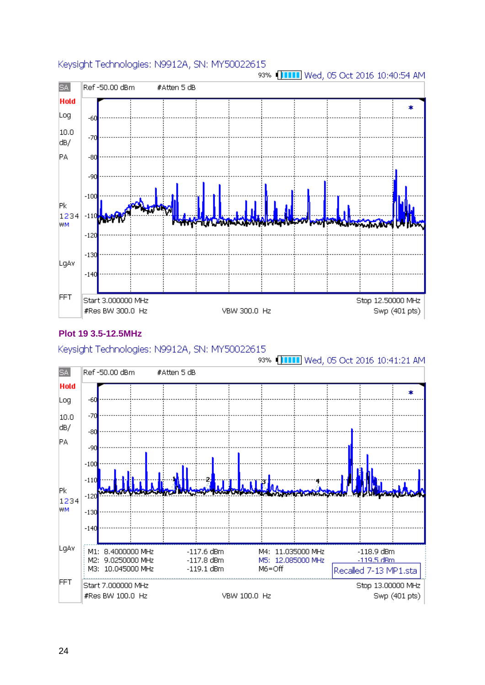

### **Plot 19 3.5-12.5MHz**

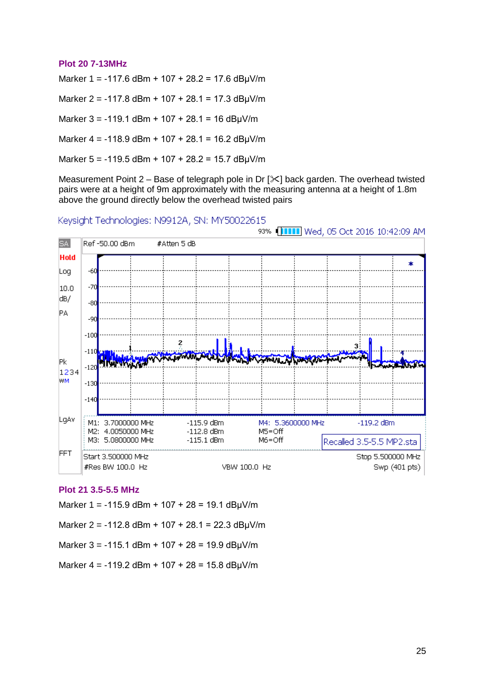#### **Plot 20 7-13MHz**

Marker 1 = -117.6 dBm + 107 + 28.2 = 17.6 dBµV/m

Marker 2 = -117.8 dBm + 107 + 28.1 = 17.3 dBμV/m

Marker  $3 = -119.1$  dBm +  $107 + 28.1 = 16$  dBµV/m

Marker  $4 = -118.9$  dBm +  $107 + 28.1 = 16.2$  dBuV/m

Marker 5 = -119.5 dBm + 107 + 28.2 = 15.7 dBμV/m

Measurement Point  $2 -$  Base of telegraph pole in Dr  $[3]$  back garden. The overhead twisted pairs were at a height of 9m approximately with the measuring antenna at a height of 1.8m above the ground directly below the overhead twisted pairs

Keysight Technologies: N9912A, SN: MY50022615



#### **Plot 21 3.5-5.5 MHz**

Marker 1 = -115.9 dBm + 107 + 28 = 19.1 dBμV/m

Marker 2 = -112.8 dBm + 107 + 28.1 = 22.3 dBμV/m

Marker  $3 = -115.1$  dBm +  $107 + 28 = 19.9$  dB $\mu$ V/m

Marker  $4 = -119.2$  dBm +  $107 + 28 = 15.8$  dBµV/m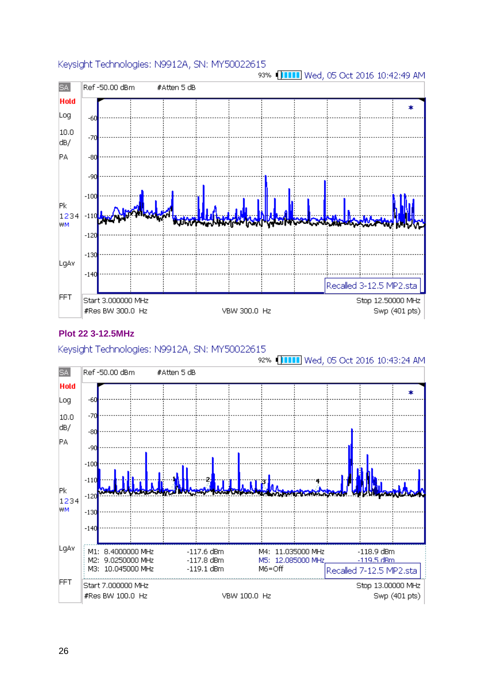

### **Plot 22 3-12.5MHz**

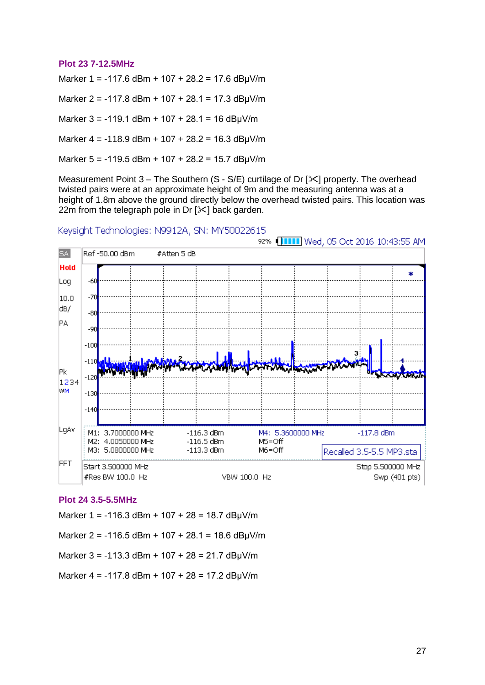#### **Plot 23 7-12.5MHz**

Marker 1 = -117.6 dBm + 107 + 28.2 = 17.6 dBμV/m

Marker 2 = -117.8 dBm + 107 + 28.1 = 17.3 dBμV/m

Marker 3 = -119.1 dBm + 107 + 28.1 = 16 dBμV/m

Marker  $4 = -118.9$  dBm +  $107 + 28.2 = 16.3$  dBuV/m

Marker 5 = -119.5 dBm + 107 + 28.2 = 15.7 dBμV/m

Measurement Point  $3$  – The Southern (S - S/E) curtilage of Dr [ $\&$ ] property. The overhead twisted pairs were at an approximate height of 9m and the measuring antenna was at a height of 1.8m above the ground directly below the overhead twisted pairs. This location was 22m from the telegraph pole in Dr  $[\times]$  back garden.

#### Keysiaht Technologies: N9912A, SN: MY50022615



#### **Plot 24 3.5-5.5MHz**

Marker 1 = -116.3 dBm + 107 + 28 = 18.7 dBμV/m

Marker 2 = -116.5 dBm + 107 + 28.1 = 18.6 dBμV/m

Marker 3 = -113.3 dBm + 107 + 28 = 21.7 dBμV/m

Marker 4 = -117.8 dBm + 107 + 28 = 17.2 dBμV/m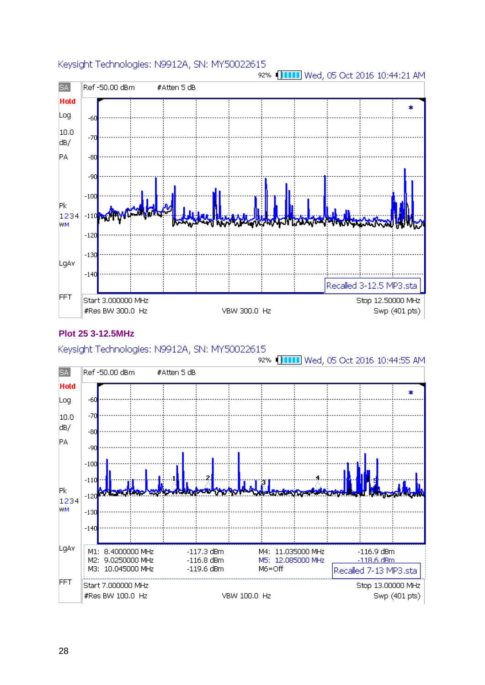

### **Plot 25 3-12.5MHz**

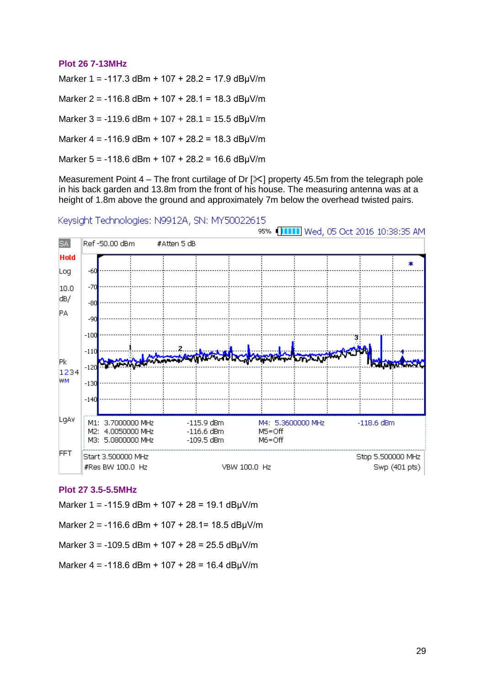#### **Plot 26 7-13MHz**

Marker 1 = -117.3 dBm + 107 + 28.2 = 17.9 dBμV/m

Marker 2 = -116.8 dBm + 107 + 28.1 = 18.3 dBμV/m

Marker  $3 = -119.6$  dBm +  $107 + 28.1 = 15.5$  dBµV/m

Marker  $4 = -116.9$  dBm +  $107 + 28.2 = 18.3$  dBuV/m

Marker  $5 = -118.6$  dBm +  $107 + 28.2 = 16.6$  dBµV/m

Measurement Point  $4$  – The front curtilage of Dr  $[\times]$  property 45.5m from the telegraph pole in his back garden and 13.8m from the front of his house. The measuring antenna was at a height of 1.8m above the ground and approximately 7m below the overhead twisted pairs.

Keysight Technologies: N9912A, SN: MY50022615



#### **Plot 27 3.5-5.5MHz**

Marker 1 = -115.9 dBm + 107 + 28 = 19.1 dBμV/m

Marker 2 = -116.6 dBm + 107 + 28.1= 18.5 dBμV/m

Marker  $3 = -109.5$  dBm +  $107 + 28 = 25.5$  dBµV/m

Marker  $4 = -118.6$  dBm +  $107 + 28 = 16.4$  dBµV/m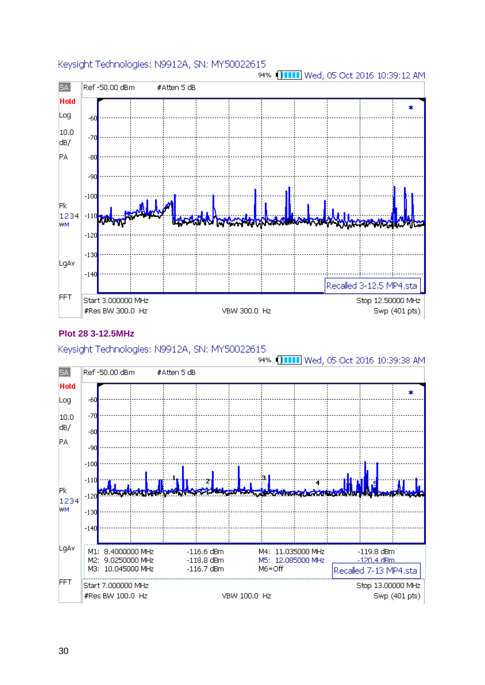

### **Plot 28 3-12.5MHz**

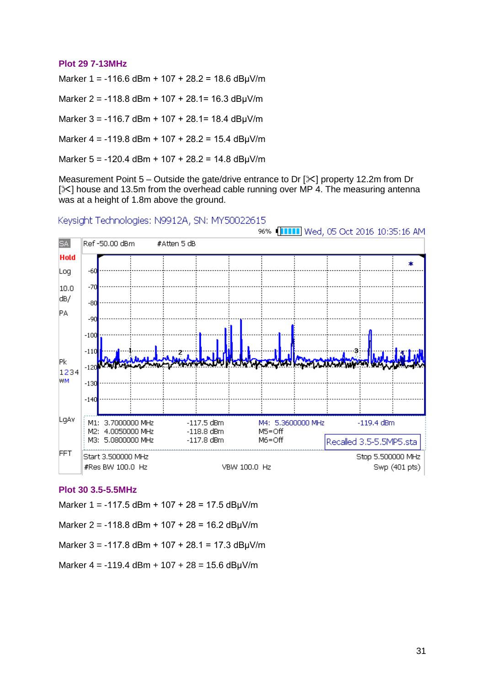#### **Plot 29 7-13MHz**

Marker 1 = -116.6 dBm + 107 + 28.2 = 18.6 dBμV/m

Marker 2 = -118.8 dBm + 107 + 28.1= 16.3 dBμV/m

Marker 3 = -116.7 dBm + 107 + 28.1= 18.4 dBμV/m

Marker  $4 = -119.8$  dBm + 107 + 28.2 = 15.4 dBuV/m

Marker  $5 = -120.4$  dBm +  $107 + 28.2 = 14.8$  dBµV/m

Measurement Point  $5 -$ Outside the gate/drive entrance to Dr  $[3]$  property 12.2m from Dr  $[\times]$  house and 13.5m from the overhead cable running over MP 4. The measuring antenna was at a height of 1.8m above the ground.

Keysight Technologies: N9912A, SN: MY50022615



#### **Plot 30 3.5-5.5MHz**

Marker 1 = -117.5 dBm + 107 + 28 = 17.5 dB $\mu$ V/m

Marker 2 = -118.8 dBm + 107 + 28 = 16.2 dBuV/m

Marker  $3 = -117.8$  dBm +  $107 + 28.1 = 17.3$  dBµV/m

Marker  $4 = -119.4$  dBm +  $107 + 28 = 15.6$  dBµV/m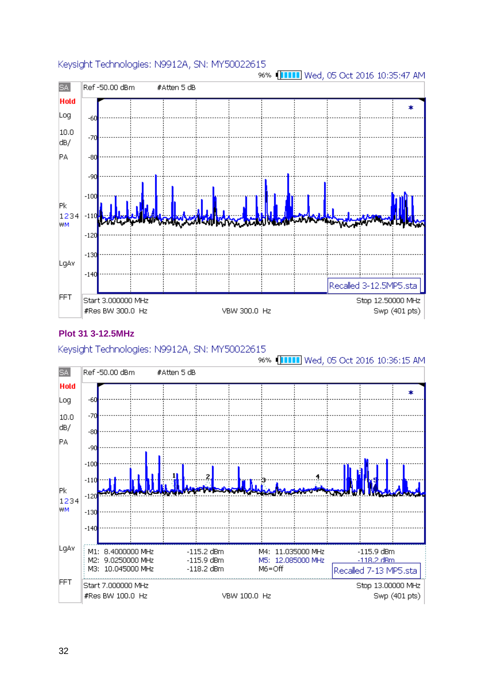

### **Plot 31 3-12.5MHz**

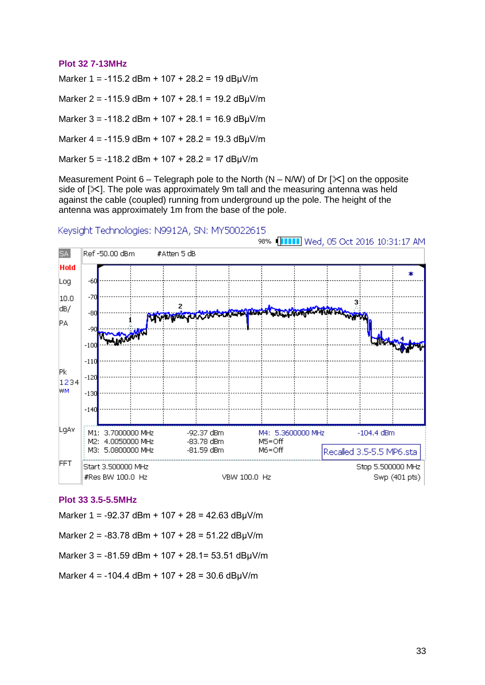#### **Plot 32 7-13MHz**

Marker 1 = -115.2 dBm + 107 + 28.2 = 19 dBμV/m

Marker 2 = -115.9 dBm + 107 + 28.1 = 19.2 dBμV/m

Marker  $3 = -118.2$  dBm +  $107 + 28.1 = 16.9$  dBµV/m

Marker  $4 = -115.9$  dBm +  $107 + 28.2 = 19.3$  dBuV/m

Marker 5 = -118.2 dBm + 107 + 28.2 = 17 dBμV/m

Measurement Point 6 – Telegraph pole to the North (N – N/W) of Dr  $[\&]$  on the opposite side of  $[\times]$ . The pole was approximately 9m tall and the measuring antenna was held against the cable (coupled) running from underground up the pole. The height of the antenna was approximately 1m from the base of the pole.

#### Keysiaht Technologies: N9912A, SN: MY50022615



#### **Plot 33 3.5-5.5MHz**

Marker 1 = -92.37 dBm + 107 + 28 = 42.63 dB $\mu$ V/m

Marker 2 = -83.78 dBm + 107 + 28 = 51.22 dBμV/m

Marker 3 = -81.59 dBm + 107 + 28.1= 53.51 dBμV/m

Marker  $4 = -104.4$  dBm +  $107 + 28 = 30.6$  dBµV/m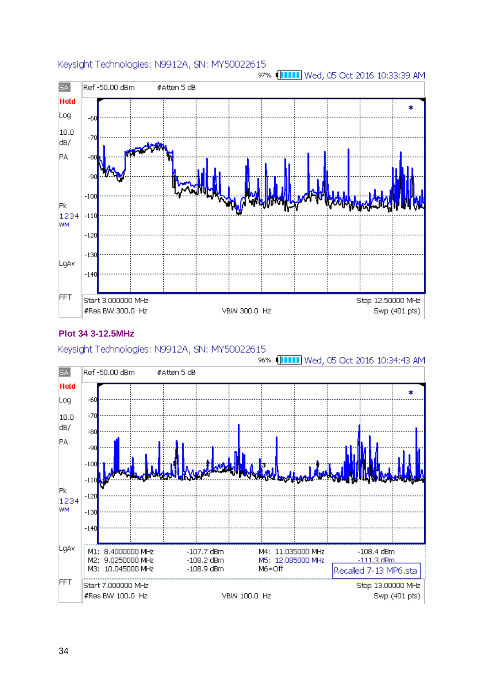

### **Plot 34 3-12.5MHz**

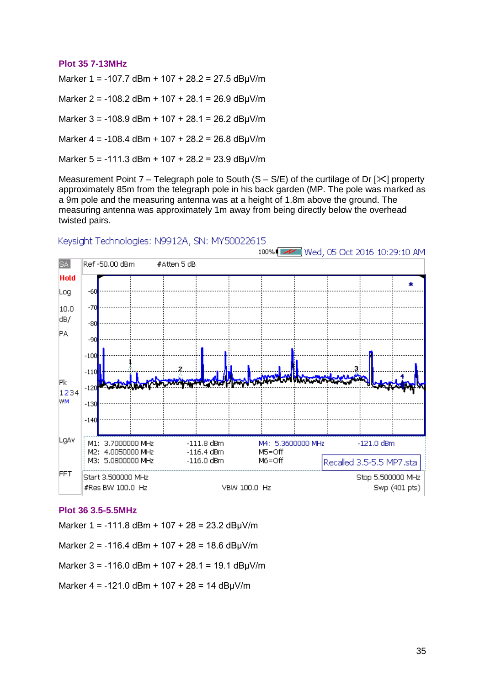#### **Plot 35 7-13MHz**

Marker 1 = -107.7 dBm + 107 + 28.2 = 27.5 dBμV/m

Marker 2 = -108.2 dBm + 107 + 28.1 = 26.9 dBμV/m

Marker 3 = -108.9 dBm + 107 + 28.1 = 26.2 dBμV/m

Marker  $4 = -108.4$  dBm + 107 + 28.2 = 26.8 dBuV/m

Marker 5 = -111.3 dBm + 107 + 28.2 = 23.9 dBμV/m

Measurement Point 7 – Telegraph pole to South  $(S - S/E)$  of the curtilage of Dr  $[\times]$  property approximately 85m from the telegraph pole in his back garden (MP. The pole was marked as a 9m pole and the measuring antenna was at a height of 1.8m above the ground. The measuring antenna was approximately 1m away from being directly below the overhead twisted pairs.



#### Keysiaht Technologies: N9912A, SN: MY50022615

#### **Plot 36 3.5-5.5MHz**

Marker 1 = -111.8 dBm + 107 + 28 = 23.2 dB $\mu$ V/m

Marker 2 = -116.4 dBm + 107 + 28 = 18.6 dB $\mu$ V/m

Marker  $3 = -116.0$  dBm +  $107 + 28.1 = 19.1$  dB $\mu$ V/m

Marker 4 = -121.0 dBm + 107 + 28 = 14 dBμV/m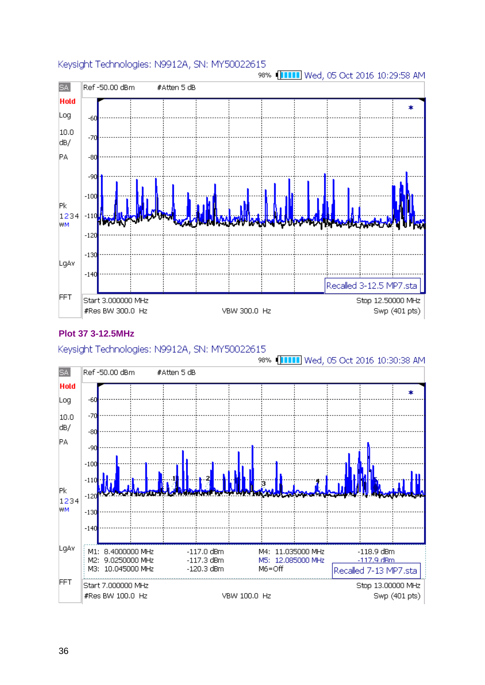

### **Plot 37 3-12.5MHz**

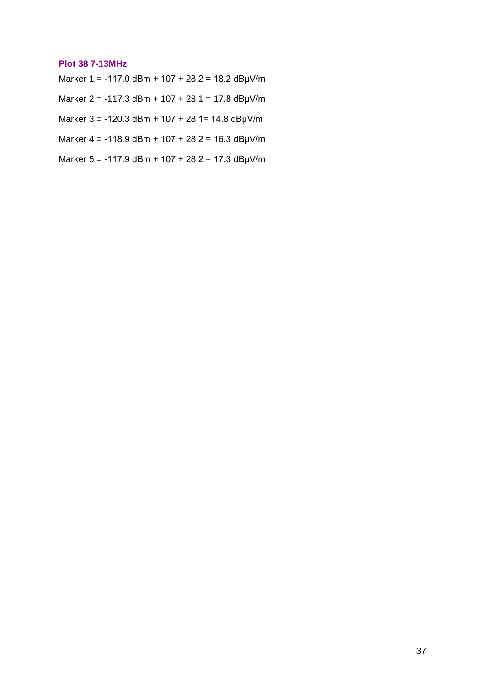#### **Plot 38 7-13MHz**

Marker 1 = -117.0 dBm + 107 + 28.2 = 18.2 dBμV/m

Marker 2 = -117.3 dBm + 107 + 28.1 = 17.8 dBμV/m

Marker 3 = -120.3 dBm + 107 + 28.1= 14.8 dBμV/m

Marker 4 = -118.9 dBm + 107 + 28.2 = 16.3 dBμV/m

Marker 5 = -117.9 dBm + 107 + 28.2 = 17.3 dBμV/m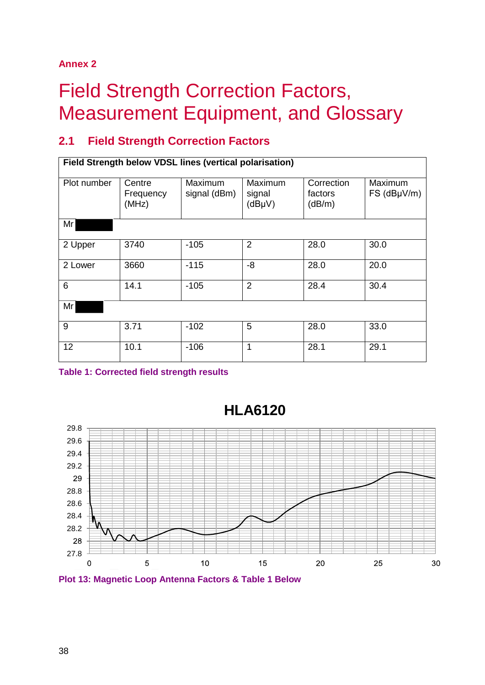# **Annex 2**

# <span id="page-42-0"></span>**Field Strength Correction Factors,** Measurement Equipment, and Glossary

# **2.1 Field Strength Correction Factors**

| Field Strength below VDSL lines (vertical polarisation) |                              |                         |                             |                                 |                        |
|---------------------------------------------------------|------------------------------|-------------------------|-----------------------------|---------------------------------|------------------------|
| Plot number                                             | Centre<br>Frequency<br>(MHz) | Maximum<br>signal (dBm) | Maximum<br>signal<br>(dBµV) | Correction<br>factors<br>(dB/m) | Maximum<br>FS (dBµV/m) |
| Mr                                                      |                              |                         |                             |                                 |                        |
| 2 Upper                                                 | 3740                         | $-105$                  | $\overline{2}$              | 28.0                            | 30.0                   |
| 2 Lower                                                 | 3660                         | $-115$                  | $-8$                        | 28.0                            | 20.0                   |
| 6                                                       | 14.1                         | $-105$                  | $\overline{2}$              | 28.4                            | 30.4                   |
| Mr                                                      |                              |                         |                             |                                 |                        |
| 9                                                       | 3.71                         | $-102$                  | 5                           | 28.0                            | 33.0                   |
| 12                                                      | 10.1                         | $-106$                  | 1                           | 28.1                            | 29.1                   |

**Table 1: Corrected field strength results**



**HLA6120**

**Plot 13: Magnetic Loop Antenna Factors & Table 1 Below**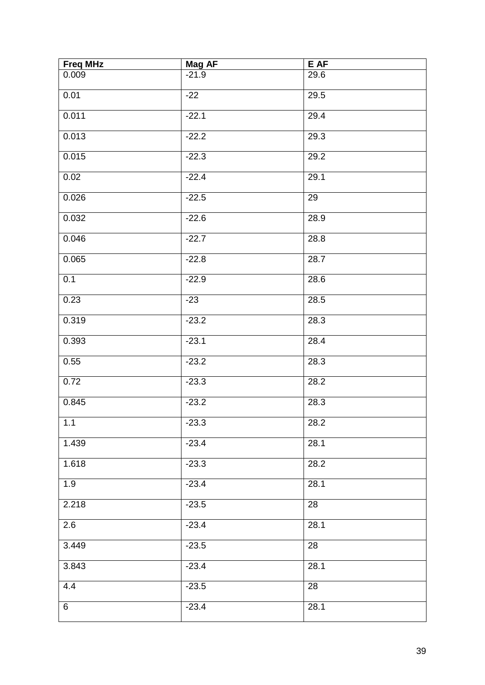| <b>Freq MHz</b> | <b>Mag AF</b> | E AF |
|-----------------|---------------|------|
| 0.009           | $-21.9$       | 29.6 |
| 0.01            | $-22$         | 29.5 |
| 0.011           | $-22.1$       | 29.4 |
| 0.013           | $-22.2$       | 29.3 |
| 0.015           | $-22.3$       | 29.2 |
| 0.02            | $-22.4$       | 29.1 |
| 0.026           | $-22.5$       | 29   |
| 0.032           | $-22.6$       | 28.9 |
| 0.046           | $-22.7$       | 28.8 |
| 0.065           | $-22.8$       | 28.7 |
| 0.1             | $-22.9$       | 28.6 |
| 0.23            | $-23$         | 28.5 |
| 0.319           | $-23.2$       | 28.3 |
| 0.393           | $-23.1$       | 28.4 |
| 0.55            | $-23.2$       | 28.3 |
| 0.72            | $-23.3$       | 28.2 |
| 0.845           | $-23.2$       | 28.3 |
| 1.1             | $-23.3$       | 28.2 |
| 1.439           | $-23.4$       | 28.1 |
| 1.618           | $-23.3$       | 28.2 |
| 1.9             | $-23.4$       | 28.1 |
| 2.218           | $-23.5$       | 28   |
| 2.6             | $-23.4$       | 28.1 |
| 3.449           | $-23.5$       | 28   |
| 3.843           | $-23.4$       | 28.1 |
| 4.4             | $-23.5$       | 28   |
| 6               | $-23.4$       | 28.1 |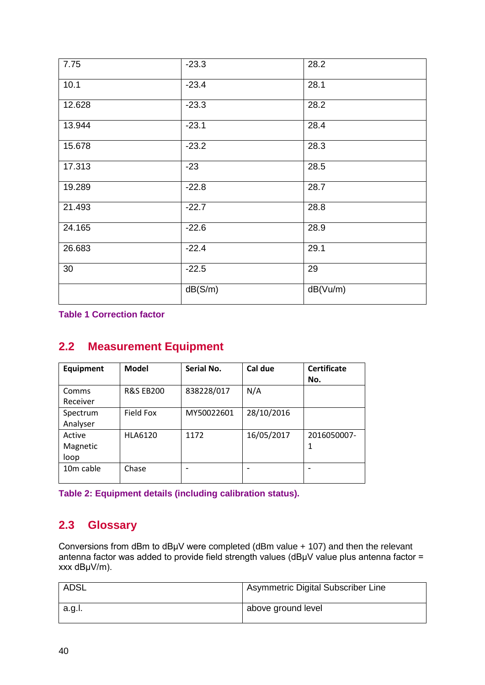| 7.75   | $-23.3$ | 28.2     |
|--------|---------|----------|
| 10.1   | $-23.4$ | 28.1     |
| 12.628 | $-23.3$ | 28.2     |
| 13.944 | $-23.1$ | 28.4     |
| 15.678 | $-23.2$ | 28.3     |
| 17.313 | $-23$   | 28.5     |
| 19.289 | $-22.8$ | 28.7     |
| 21.493 | $-22.7$ | 28.8     |
| 24.165 | $-22.6$ | 28.9     |
| 26.683 | $-22.4$ | 29.1     |
| 30     | $-22.5$ | 29       |
|        | dB(S/m) | dB(Vu/m) |

**Table 1 Correction factor**

# **2.2 Measurement Equipment**

| <b>Equipment</b>           | <b>Model</b>         | Serial No. | Cal due    | <b>Certificate</b><br>No. |
|----------------------------|----------------------|------------|------------|---------------------------|
| Comms<br>Receiver          | <b>R&amp;S EB200</b> | 838228/017 | N/A        |                           |
| Spectrum<br>Analyser       | <b>Field Fox</b>     | MY50022601 | 28/10/2016 |                           |
| Active<br>Magnetic<br>loop | <b>HLA6120</b>       | 1172       | 16/05/2017 | 2016050007-<br>1          |
| 10m cable                  | Chase                |            |            |                           |

**Table 2: Equipment details (including calibration status).**

# **2.3 Glossary**

Conversions from dBm to dBμV were completed (dBm value + 107) and then the relevant antenna factor was added to provide field strength values (dBμV value plus antenna factor = xxx dBμV/m).

| <b>ADSL</b> | Asymmetric Digital Subscriber Line |
|-------------|------------------------------------|
| a.g.l.      | above ground level                 |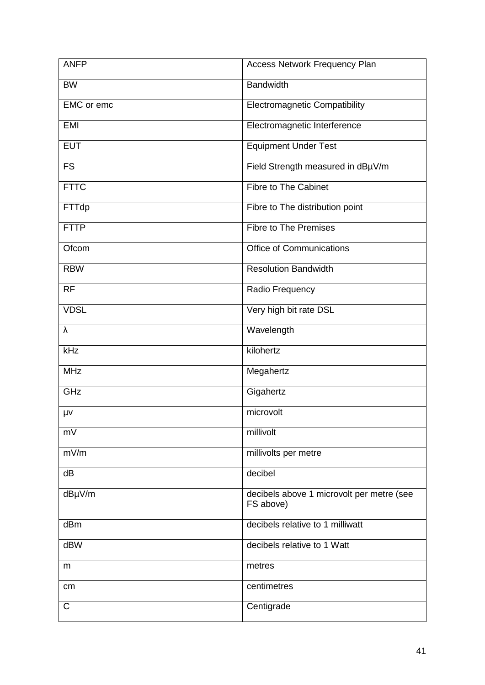| <b>ANFP</b> | Access Network Frequency Plan                          |
|-------------|--------------------------------------------------------|
| <b>BW</b>   | <b>Bandwidth</b>                                       |
| EMC or emc  | <b>Electromagnetic Compatibility</b>                   |
| <b>EMI</b>  | Electromagnetic Interference                           |
| <b>EUT</b>  | <b>Equipment Under Test</b>                            |
| <b>FS</b>   | Field Strength measured in dBµV/m                      |
| <b>FTTC</b> | <b>Fibre to The Cabinet</b>                            |
| FTTdp       | Fibre to The distribution point                        |
| <b>FTTP</b> | <b>Fibre to The Premises</b>                           |
| Ofcom       | <b>Office of Communications</b>                        |
| <b>RBW</b>  | <b>Resolution Bandwidth</b>                            |
| <b>RF</b>   | Radio Frequency                                        |
| <b>VDSL</b> | Very high bit rate DSL                                 |
| λ           | Wavelength                                             |
| kHz         | kilohertz                                              |
| <b>MHz</b>  | Megahertz                                              |
| GHz         | Gigahertz                                              |
| μv          | microvolt                                              |
| mV          | millivolt                                              |
| mV/m        | millivolts per metre                                   |
| dB          | decibel                                                |
| dBµV/m      | decibels above 1 microvolt per metre (see<br>FS above) |
| dBm         | decibels relative to 1 milliwatt                       |
| dBW         | decibels relative to 1 Watt                            |
| m           | metres                                                 |
| cm          | centimetres                                            |
| C           | Centigrade                                             |